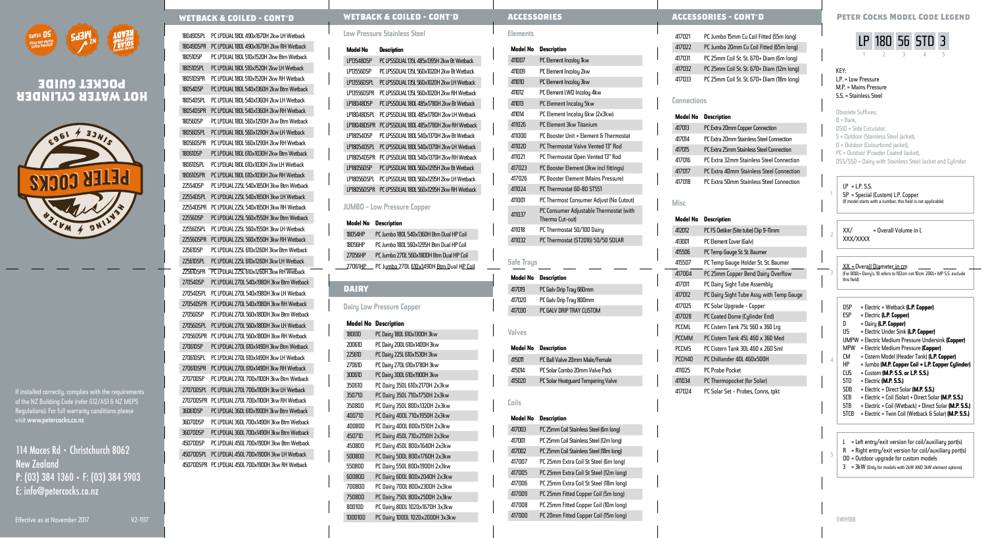

# **HOT WATER CYLINDER POCKET GUIDE**



If installed correctly, complies with the requirements of the NZ Building Code (refer G12/AS1 & NZ MEPS Regulations). For full warranty conditions please visit www.petercocks.co.nz

# 114 Maces Rd • Christchurch 8062 New **Zealand** P: (03) 384 1360 • F: (03) 384 5903 E: info@petercocks.co.nz

18049DSPL PC LPDUAL 180L 490x1670H 2kw LH Wetback 18049DSPR PC LPDUAL 180L 490x1670H 2kw RH Wetback 18051DSP PC LPDUAL 180L 510x1520H 2kw Btm Wetback 18051DSPL PC LPDUAL 180L 510x1520H 2kw LH Wetback 18051DSPR PC LPDUAL 180L 510x1520H 2kw RH Wetback 18054DSP PC LPDUAL 180L 540x1360H 2kw Btm Wetback 18054DSPL PC LPDUAL 180L 540x1360H 2kw LH Wetback 18054DSPR PC LPDUAL 180L 540x1360H 2kw RH Wetback 18056DSP PC LPDUAL 180L 560x1290H 2kw Btm Wetback 18056DSPL PC LPDUAL 180L 560x1290H 2kw LH Wetback 18056DSPR PC LPDUAL 180L 560x1290H 2kw RH Wetback 18061DSP PC LPDUAL 180L 610x1030H 2kw Btm Wetback 18061DSPL PC LPDUAL 180L 610x1030H 2kw LH Wetback 18061DSPR PC LPDUAL 180L 610x1030H 2kw RH Wetback 22554DSP PC LPDUAL 225L 540x1650H 3kw Btm Wetback 22554DSPL PC LPDUAL 225L 540x1650H 3kw LH Wetback 22554DSPR PC LPDUAL 225L 540x1650H 3kw RH Wetback 22556DSP PC LPDUAL 225L 560x1550H 3kw Btm Wetback 22556DSPL PC LPDUAL 225L 560x1550H 3kw LH Wetback 22556DSPR PC LPDUAL 225L 560x1550H 3kw RH Wetback 22561DSP PC LPDUAL 225L 610x1260H 3kw Btm Wetback 22561DSPL PC LPDUAL 225L 610x1260H 3kw LH Wetback 22561DSPR PC LPDUAL 225L 610x1260H 3kw RH Wetback 27054DSP PC LPDUAL 270L 540x1980H 3kw Btm Wetback 27054DSPL PC LPDUAL 270L 540x1980H 3kw LH Wetback 27054DSPR PC LPDUAL 270L 540x1980H 3kw RH Wetback 27056DSP PC LPDUAL 270L 560x1800H 3kw Btm Wetback 27056DSPL PC LPDUAL 270L 560x1800H 3kw LH Wetback 27056DSPR PC LPDUAL 270L 560x1800H 3kw RH Wetback 27061DSP PC LPDUAL 270L 610x1490H 3kw Btm Wetback 27061DSPL PC LPDUAL 270L 610x1490H 3kw LH Wetback 27061DSPR PC LPDUAL 270L 610x1490H 3kw RH Wetback 27070DSP PC LPDUAL 270L 700x1100H 3kw Btm Wetback 27070DSPL PC LPDUAL 270L 700x1100H 3kw LH Wetback 27070DSPR PC LPDUAL 270L 700x1100H 3kw RH Wetback 36061DSP PC LPDUAL 360L 610x1900H 3kw Btm Wetback 36070DSP PC LPDUAL 360L 700x1490H 3kw Btm Wetback 36070DSP PC LPDUAL 360L 700x1490H 3kw Btm Wetback 45070DSP PC LPDUAL 450L 700x1900H 3kw Btm Wetback 45070DSPL PC LPDUAL 450L 700x1900H 3kw LH Wetback 45070DSPR PC LPDUAL 450L 700x1900H 3kw RH Wetback

#### **WETBACK & COILED - CONT'D WETBACK & COILED - CONT'D ACCESSORIES - CONT'D Peter Cocks Model Code Legend**

#### Low Pressure Stainless Steel

#### **Model No Description**

LP13548DSP PC LPSSDUAL 135L 485x1395H 2kw Bt Wetback LP13556DSP PC LPSSDUAL 135L 560x1020H 2kw Bt Wetback LP13556DSPL PC LPSSDUAL 135L 560x1020H 2kw LH Wetback LP13556DSPR PC LPSSDUAL 135L 560x1020H 2kw RH Wetback LP18048DSP PC LPSSDUAL 180L 485x1780H 2kw Bt Wetback LP18048DSPL PC LPSSDUAL 180L 485x1780H 2kw LH Wetback LP18048DSPR PC LPSSDUAL 180L 485x1780H 2kw RH Wetback LP18054DSP PC LPSSDUAL 180L 540x1370H 2kw Bt Wetback LP18054DSPL PC LPSSDUAL 180L 540x1370H 2kw LH Wetback LP18054DSPR PC LPSSDUAL 180L 540x1370H 2kw RH Wetback LP18056DSP PC LPSSDUAL 180L 560x1295H 2kw Bt Wetback LP18056DSPL PC LPSSDUAL 180L 560x1295H 2kw LH Wetback LP18056DSPR PC LPSSDUAL 180L 560x1295H 2kw RH Wetback

#### JUMBO - Low Pressure Copper

#### **Model No Description**

18054HP PC Jumbo 180L 540x1360H Btm Dual HP Coil 18056HP PC Jumbo 180L 560x1295H Btm Dual HP Coil 27056HP PC Jumbo 270L 560x1800H Btm Dual HP Coil 27061HP PC Jumbo 270L 610x1490H Btm Dual HP Coil

#### **DAIRY**

#### Dairy Low Pressure Copper

#### **Model No Description** 18061D PC Dairy 180L 610x1300H 3kw

| 20061D        | PC Dairy 200L 610x1400H 3kw     |
|---------------|---------------------------------|
| 22561D        | PC Dairy 225L 610x1530H 3kw     |
| 27061D        | PC Dairy 270L 610x1780H 3kw     |
| 30061D        | PC Dairy 300L 610x1900H 3kw     |
| 35061D        | PC Dairy 350L 610x2170H 2x3kw   |
| 35071D        | PC Dairy 350L 710x1750H 2x3kw   |
| 350800        | PC Dairy 350L 800x1320H 2x3kw   |
| 40071D        | PC Dairy 400L 710x1950H 2x3kw   |
| 400800        | PC Dairy 400L 800x1510H 2x3kw   |
| 45071D        | PC Dairy 450L 710x2150H 2x3kw   |
| 45080D        | PC Dairy 450L 800x1640H 2x3kw   |
| <b>50080D</b> | PC Dairy 500L 800x1760H 2x3kw   |
| 550800        | PC Dairy 550L 800x1900H 2x3kw   |
| 60080D        | PC Dairy 600L 800x2040H 2x3kw   |
| 70080D        | PC Dairy 700L 800x2300H 2x3kw   |
| 75080D        | PC Dairy 750L 800x2500H 2x3kw   |
| 80010D        | PC Dairy 800L 1020x1670H 3x3kw  |
| 100010D       | PC Dairy 1000L 1020x2000H 3x3kw |

### **ACCESSORIES**

# Elements **Model No Description**

| 411007 | PC Element Incoloy 1kw                  |
|--------|-----------------------------------------|
| 411009 | PC Element Incoloy 2kw                  |
| 411010 | PC Element Incoloy 3kw                  |
| 411012 | PC Element LWD Incoloy 4kw              |
| 411013 | PC Element Incoloy 5kw                  |
| 411014 | PC Element Incoloy 6kw (2x3kw)          |
| 411026 | PC Element 3kw Titanium                 |
| 411000 | PC Booster Unit + Element & Thermostat  |
| 411020 | PC Thermostat Valve Vented 13" Rod      |
| 411021 | PC Thermostat Open Vented 13" Rod       |
| 417023 | PC Booster Element (3kw incl fittings)  |
| 417026 | PC Booster Element (Mains Pressure)     |
| 411024 | PC Thermostat 60-80 ST551               |
| 411001 | PC Thermost Consumer Adjust (No Cutout) |
|        |                                         |

### <sup>411037</sup> PC Consumer Adjustable Thermostat (with Thermo Cut-out) 411018 PC Thermostat 50/100 Dairy

411032 PC Thermostat (ST2016) 50/50 SOLAR

#### **Safe Traus**

**Model No Description** 417019 PC Galv Drip Tray 660mm 417020 PC Galv Drip Tray 800mm

417030 PC GALV DRIP TRAY CUSTOM

Valves

#### **Model No Description**

415011 PC Ball Valve 20mm Male/Female 415014 PC Solar Combo 20mm Valve Pack 415020 PC Solar Heatguard Tempering Valve

#### **Model No Description**

Coils

| 417003 | PC 25mm Coil Stainless Steel (6m long)  |
|--------|-----------------------------------------|
| 417001 | PC 25mm Coil Stainless Steel (12m long) |
| 417002 | PC 25mm Coil Stainless Steel (18m long) |
| 417007 | PC 25mm Extra Coil St Steel (6m long)   |
| 417005 | PC 25mm Extra Coil St Steel (12m long)  |
| 417006 | PC 25mm Extra Coil St Steel (18m long)  |
| 417009 | PC 25mm Fitted Copper Coil (5m long)    |
| 417008 | PC 25mm Fitted Copper Coil (10m long)   |
| 417000 | PC 20mm Fitted Copper Coil (15m long)   |

| 417021 | PC Jumbo 15mm Cu Coil Fitted (55m long)   |
|--------|-------------------------------------------|
| 417022 | PC Jumbo 20mm Cu Coil Fitted (65m long)   |
| 417031 | PC 25mm Coil St. St. 670+ Diam (6m Iong)  |
| 417032 | PC 25mm Coil St. St. 670+ Diam (12m long) |
| 417033 | PC 25mm Coil St. St. 670+ Diam (18m long) |

#### **Connections**

#### **Model No Description**

| 417013 | PC Extra 20mm Copper Connection          |
|--------|------------------------------------------|
| 417014 | PC Extra 20mm Stainless Steel Connection |
| 417015 | PC Extra 25mm Stainless Steel Connection |
| 417016 | PC Extra 32mm Stainless Steel Connection |
| 417017 | PC Extra 40mm Stainless Steel Connection |
| 417018 | PC Extra 50mm Stainless Steel Connection |

Misc

| Model No     | Description                              |
|--------------|------------------------------------------|
| 412012       | PC FS Oetiker (Site tube) Clip 9-11mm    |
| 413001       | PC Element Cover (Galv)                  |
| 415506       | PC Temp Gauge St. St. Baumer             |
| 415507       | PC Temp Gauge Holder St. St. Baumer      |
| 417004       | PC 25mm Copper Bend Dairy Overflow       |
| 417011       | PC Dairy Sight Tube Assembly             |
| 417012       | PC Dairy Sight Tube Assy with Temp Gauge |
| 417025       | PC Solar Upgrade - Copper                |
| 417028       | PC Coated Dome (Cylinder End)            |
| PCCML        | PC Cistern Tank 75L 560 x 360 Lrg        |
| <b>PCCMM</b> | PC Cistern Tank 45L 46D x 36D Med        |
| <b>PCCMS</b> | PC Cistern Tank 30L 460 x 260 Sml        |
| PCCH40       | PC Chillander 40L 460x500H               |
| 411025       | <b>PC Probe Pocket</b>                   |
| 411034       | PC Thermopocket (for Solar)              |
| 417074       | PC Solar Set - Probes Conns tokt         |

# LP 180 56 STD 3

 $\overline{1}$   $\overline{2}$   $\overline{3}$   $\overline{4}$   $\overline{5}$ 

#### KEY: L.P. = Low Pressure M.P. = Mains Pressure S.S. = Stainless Steel

#### Obsolete Suffixes;  $B = B$ are DSID = Side Circulator, S = Outdoor (Stainless Steel jacket), O = Outdoor (Colourbond jacket), PC = Outdoor (Powder Coated Jacket), DSS/SSD = Dairu with Stainless Steel Jacket and Culinder

#### $IP = IP.S.$

4

SWH188

SP = Special (Custom) L.P. Copper (If model starts with a number, this field is not applicable)

#### $XX/$  = Overall Volume in L XXX/XXXX

### $\frac{XX}{S}$  = Overall Diameter in cm  $\frac{1}{2}$  =  $\frac{XX}{S}$  = 001. this field)

- DSP = Electric + Wetback **(L.P. Copper)** ESP = Electric **(L.P. Copper)** D = Dairy **(L.P. Copper)** US = Electric Under Sink **(L.P. Copper)** UMPW = Electric Medium Pressure Undersink **(Copper)** MPW = Electric Medium Pressure **(Copper)** CM = Cistern Model (Header Tank) **(L.P. Copper)** HP = Jumbo **(M.P. Copper Coil + L.P. Copper Cylinder)** CUS = Custom **(M.P. S.S. or L.P. S.S.)** STD = Electric **(M.P. S.S.)** SDB = Electric + Direct Solar **(M.P. S.S.)** SCB = Electric + Coil (Solar) + Direct Solar **(M.P. S.S.)** STB = Electric + Coil (Wetback) + Direct Solar **(M.P. S.S.)**
- STCB = Electric + Twin Coil (Wetback & Solar) **(M.P. S.S.)**

| = Left entry/exit version for coil/auxiliary port(s)      |
|-----------------------------------------------------------|
| $R =$ Right entry/exit version for coil/auxiliary port(s) |
|                                                           |

- OD = Outdoor upgrade for custom models
- 3 = 3kW (Only for models with 2kW AND 3kW element options)